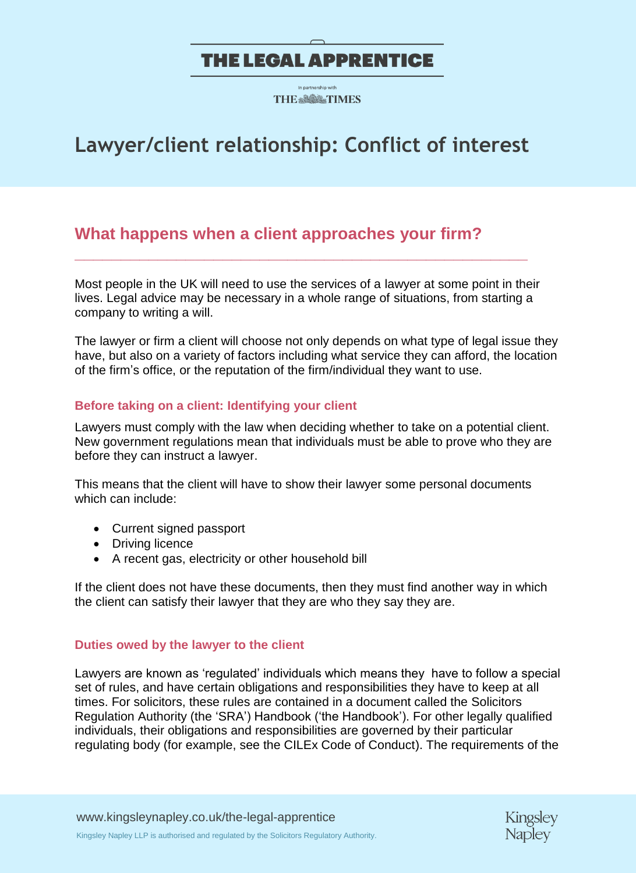**THE ※8億ペ TIMES** 

# **Lawyer/client relationship: Conflict of interest**

### **What happens when a client approaches your firm?**

Most people in the UK will need to use the services of a lawyer at some point in their lives. Legal advice may be necessary in a whole range of situations, from starting a company to writing a will.

**\_\_\_\_\_\_\_\_\_\_\_\_\_\_\_\_\_\_\_\_\_\_\_\_\_\_\_\_\_\_\_\_\_\_\_\_\_\_\_\_\_\_\_\_\_\_\_\_\_**

The lawyer or firm a client will choose not only depends on what type of legal issue they have, but also on a variety of factors including what service they can afford, the location of the firm's office, or the reputation of the firm/individual they want to use.

### **Before taking on a client: Identifying your client**

Lawyers must comply with the law when deciding whether to take on a potential client. New government regulations mean that individuals must be able to prove who they are before they can instruct a lawyer.

This means that the client will have to show their lawyer some personal documents which can include:

- Current signed passport
- Driving licence
- A recent gas, electricity or other household bill

If the client does not have these documents, then they must find another way in which the client can satisfy their lawyer that they are who they say they are.

### **Duties owed by the lawyer to the client**

Lawyers are known as 'regulated' individuals which means they have to follow a special set of rules, and have certain obligations and responsibilities they have to keep at all times. For solicitors, these rules are contained in a document called the Solicitors Regulation Authority (the 'SRA') Handbook ('the Handbook'). For other legally qualified individuals, their obligations and responsibilities are governed by their particular regulating body (for example, see the CILEx Code of Conduct). The requirements of the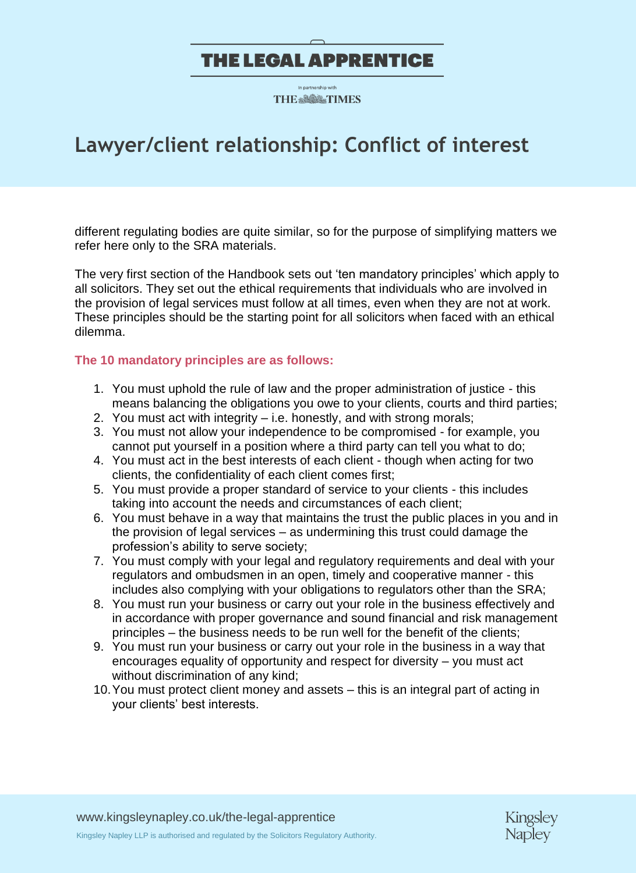**THE & SOL TIMES** 

# **Lawyer/client relationship: Conflict of interest**

different regulating bodies are quite similar, so for the purpose of simplifying matters we refer here only to the SRA materials.

The very first section of the Handbook sets out 'ten mandatory principles' which apply to all solicitors. They set out the ethical requirements that individuals who are involved in the provision of legal services must follow at all times, even when they are not at work. These principles should be the starting point for all solicitors when faced with an ethical dilemma.

#### **The 10 mandatory principles are as follows:**

- 1. You must uphold the rule of law and the proper administration of justice this means balancing the obligations you owe to your clients, courts and third parties;
- 2. You must act with integrity i.e. honestly, and with strong morals;
- 3. You must not allow your independence to be compromised for example, you cannot put yourself in a position where a third party can tell you what to do;
- 4. You must act in the best interests of each client though when acting for two clients, the confidentiality of each client comes first;
- 5. You must provide a proper standard of service to your clients this includes taking into account the needs and circumstances of each client;
- 6. You must behave in a way that maintains the trust the public places in you and in the provision of legal services – as undermining this trust could damage the profession's ability to serve society;
- 7. You must comply with your legal and regulatory requirements and deal with your regulators and ombudsmen in an open, timely and cooperative manner - this includes also complying with your obligations to regulators other than the SRA;
- 8. You must run your business or carry out your role in the business effectively and in accordance with proper governance and sound financial and risk management principles – the business needs to be run well for the benefit of the clients;
- 9. You must run your business or carry out your role in the business in a way that encourages equality of opportunity and respect for diversity – you must act without discrimination of any kind;
- 10.You must protect client money and assets this is an integral part of acting in your clients' best interests.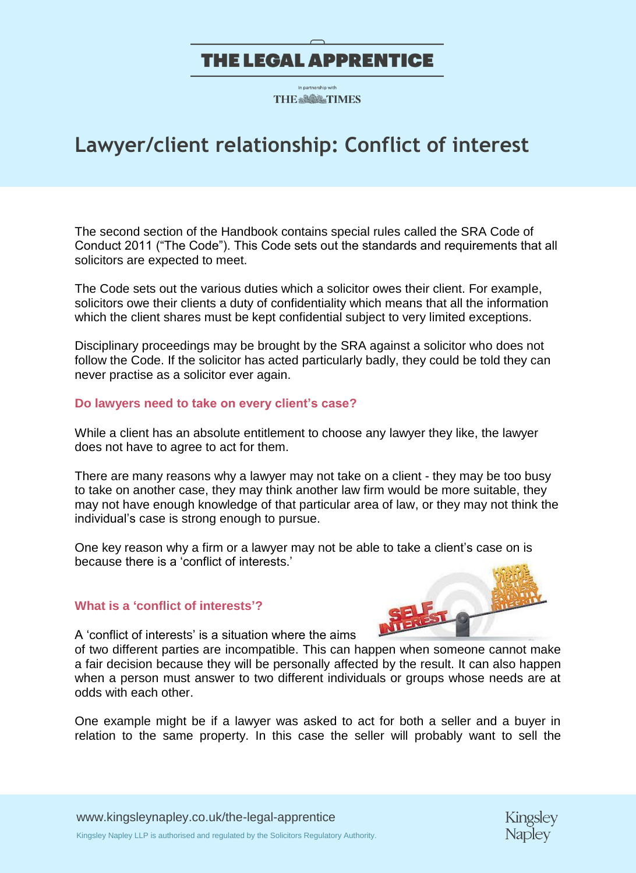**THE ※8億ペ TIMES** 

# **Lawyer/client relationship: Conflict of interest**

The second section of the Handbook contains special rules called the SRA Code of Conduct 2011 ("The Code"). This Code sets out the standards and requirements that all solicitors are expected to meet.

The Code sets out the various duties which a solicitor owes their client. For example, solicitors owe their clients a duty of confidentiality which means that all the information which the client shares must be kept confidential subject to very limited exceptions.

Disciplinary proceedings may be brought by the SRA against a solicitor who does not follow the Code. If the solicitor has acted particularly badly, they could be told they can never practise as a solicitor ever again.

#### **Do lawyers need to take on every client's case?**

While a client has an absolute entitlement to choose any lawyer they like, the lawyer does not have to agree to act for them.

There are many reasons why a lawyer may not take on a client - they may be too busy to take on another case, they may think another law firm would be more suitable, they may not have enough knowledge of that particular area of law, or they may not think the individual's case is strong enough to pursue.

One key reason why a firm or a lawyer may not be able to take a client's case on is because there is a 'conflict of interests.'

#### **What is a 'conflict of interests'?**



A 'conflict of interests' is a situation where the aims

of two different parties are incompatible. This can happen when someone cannot make a fair decision because they will be personally affected by the result. It can also happen when a person must answer to two different individuals or groups whose needs are at odds with each other.

One example might be if a lawyer was asked to act for both a seller and a buyer in relation to the same property. In this case the seller will probably want to sell the

[www.kingsleynapley.co.uk/the-legal-apprentice](http://www.kingsleynapley.co.uk/the-legal-apprentice) Kingsley Napley LLP is authorised and regulated by the Solicitors Regulatory Authority.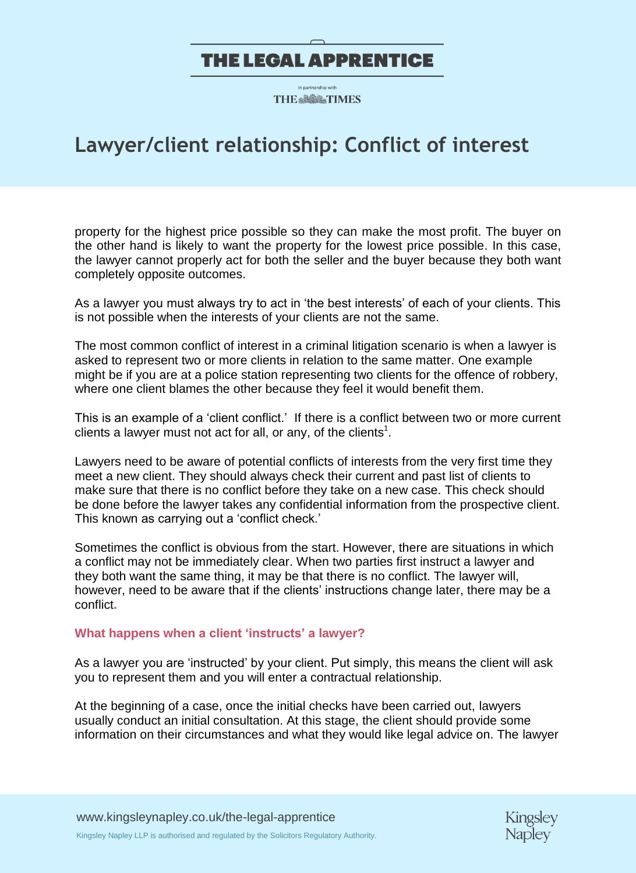**THE ※8億ペ TIMES** 

# **Lawyer/client relationship: Conflict of interest**

property for the highest price possible so they can make the most profit. The buyer on the other hand is likely to want the property for the lowest price possible. In this case, the lawyer cannot properly act for both the seller and the buyer because they both want completely opposite outcomes.

As a lawyer you must always try to act in 'the best interests' of each of your clients. This is not possible when the interests of your clients are not the same.

The most common conflict of interest in a criminal litigation scenario is when a lawyer is asked to represent two or more clients in relation to the same matter. One example might be if you are at a police station representing two clients for the offence of robbery, where one client blames the other because they feel it would benefit them.

This is an example of a 'client conflict.' If there is a conflict between two or more current clients a lawyer must not act for all, or any, of the clients<sup>1</sup>.

Lawyers need to be aware of potential conflicts of interests from the very first time they meet a new client. They should always check their current and past list of clients to make sure that there is no conflict before they take on a new case. This check should be done before the lawyer takes any confidential information from the prospective client. This known as carrying out a 'conflict check.'

Sometimes the conflict is obvious from the start. However, there are situations in which a conflict may not be immediately clear. When two parties first instruct a lawyer and they both want the same thing, it may be that there is no conflict. The lawyer will, however, need to be aware that if the clients' instructions change later, there may be a conflict**.** 

#### **What happens when a client 'instructs' a lawyer?**

As a lawyer you are 'instructed' by your client. Put simply, this means the client will ask you to represent them and you will enter a contractual relationship.

At the beginning of a case, once the initial checks have been carried out, lawyers usually conduct an initial consultation. At this stage, the client should provide some information on their circumstances and what they would like legal advice on. The lawyer